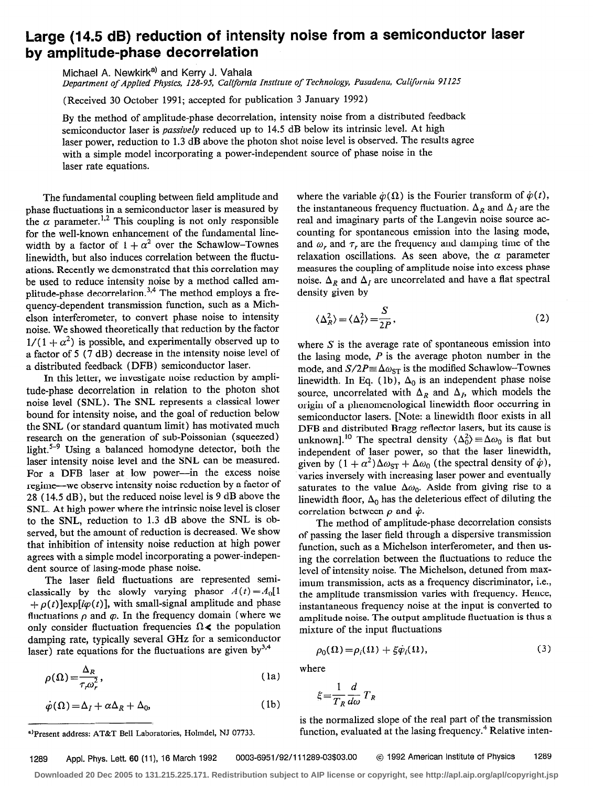## Large (14.5 dB) reduction of intensity noise from a semiconductor laser by amplitude-phase decorrelation

Michael A. Newkirk<sup>a)</sup> and Kerry J. Vahala

Department of Applied Physics, 128-95, CaIifornia Institute of Technology, Pasadena, California 91125

(Received 30 October 1991; accepted for publication 3 January 1992)

By the method of amplitude-phase decorrelation, intensity noise from a distributed feedback semiconductor laser is passively reduced up to 14.5 dB below its intrinsic level. At high laser power, reduction to 1.3 dB above the photon shot noise level is observed. The results agree with a simple model incorporating a power-independent source of phase noise in the laser rate equations.

The fundamental coupling between field amplitude and phase fluctuations in a semiconductor laser is measured by the  $\alpha$  parameter.<sup>1,2</sup> This coupling is not only responsible for the well-known enhancement of the fundamental linewidth by a factor of  $1 + \alpha^2$  over the Schawlow-Townes linewidth, but also induces correlation between the fluctuations. Recently we demonstrated that this correlation may be used to reduce intensity noise by a method called amplitude-phase decorrelation.<sup>3,4</sup> The method employs a frequency-dependent transmission function, such as a Michelson interferometer, to convert phase noise to intensity noise. We showed theoretically that reduction by the factor  $1/(1 + \alpha^2)$  is possible, and experimentally observed up to a factor of 5 (7 dB) decrease in the intensity noise level of a distributed feedback (DFB) semiconductor laser.

In this letter, we investigate noise reduction by amplitude-phase decorrelation in relation to the photon shot noise level (SNL). The SNL represents a classical lower bound for intensity noise, and the goal of reduction below the SNL (or standard quantum limit) has motivated much research on the generation of sub-Poissonian (squeezed) light.5-9 Using a balanced homodyne detector, both the laser intensity noise level and the SNL can be measured. For a DFB laser at low power-in the excess noise regime-we observe intensity noise reduction by a factor of 28 ( 14.5 dB), but the reduced noise level is 9 dB above the SNL. At high power where the intrinsic noise level is closer to the SNL, reduction to 1.3 dB above the SNL is observed, but the amount of reduction is decreased. We show that inhibition of intensity noise reduction at high power agrees with a simple model incorporating a power-independent source of lasing-mode phase noise.

The laser field fluctuations are represented semiclassically by the slowly varying phasor  $A(t) = A_0[1]$ +  $\rho(t)$  exp( $i\varphi(t)$ ], with small-signal amplitude and phase fluctuations  $\rho$  and  $\varphi$ . In the frequency domain (where we only consider fluctuation frequencies  $\Omega \lt \ell$  the population damping rate, typically several GHz for a semiconductor laser) rate equations for the fluctuations are given by  $3,4$ 

$$
\rho(\Omega) = \frac{\Delta_R}{\tau \omega_*^2},\tag{1a}
$$

$$
\dot{\varphi}(\Omega) = \Delta_I + \alpha \Delta_R + \Delta_0, \tag{1b}
$$

')Present address: AT&T Bell Laboratories, Holmdel, NJ 07733.

where the variable  $\dot{\varphi}(\Omega)$  is the Fourier transform of  $\dot{\varphi}(t)$ , the instantaneous frequency fluctuation.  $\Delta_R$  and  $\Delta_I$  are the real and imaginary parts of the Langevin noise source accounting for spontaneous emission into the lasing mode, and  $\omega$ , and  $\tau$ , are the frequency and damping time of the relaxation oscillations. As seen above, the  $\alpha$  parameter measures the coupling of amplitude noise into excess phase noise.  $\Delta_R$  and  $\Delta_I$  are uncorrelated and have a flat spectral density given by

$$
\langle \Delta_R^2 \rangle = \langle \Delta_I^2 \rangle = \frac{S}{2P},\tag{2}
$$

where  $S$  is the average rate of spontaneous emission into the lasing mode,  $P$  is the average photon number in the mode, and  $S/2P = \Delta \omega_{ST}$  is the modified Schawlow-Townes linewidth. In Eq. (1b),  $\Delta_0$  is an independent phase noise source, uncorrelated with  $\Delta_R$  and  $\Delta_I$ , which models the origin of a phenomenological linewidth floor occurring in semiconductor lasers. [Note: a linewidth floor exists in all DFB and distributed Bragg reflector lasers, but its cause is unknown].<sup>10</sup> The spectral density  $\langle \Delta_0^2 \rangle = \Delta \omega_0$  is flat but independent of laser power, so that the laser linewidth, given by  $(1 + \alpha^2) \Delta \omega_{ST} + \Delta \omega_0$  (the spectral density of  $\dot{\varphi}$ ), varies inversely with increasing laser power and eventually saturates to the value  $\Delta\omega_0$ . Aside from giving rise to a linewidth floor,  $\Delta_0$  has the deleterious effect of diluting the correlation between  $\rho$  and  $\dot{\varphi}$ .

The method of amplitude-phase decorrelation consists of passing the laser field through a dispersive transmission function, such as a Michelson interferometer, and then using the correlation between the fluctuations to reduce the level of intensity noise. The Michelson, detuned from maximum transmission, acts as a frequency discriminator, i.e., the amplitude transmission varies with frequency. Hence, instantaneous frequency noise at the input is converted to amplitude noise. The output amplitude fluctuation is thus a mixture of the input fluctuations

$$
\rho_0(\Omega) = \rho_i(\Omega) + \xi \dot{\varphi}_i(\Omega),\tag{3}
$$

where

$$
\xi = \frac{1}{T_R} \frac{d}{d\omega} T_R
$$

is the normalized slope of the real part of the transmission function, evaluated at the lasing frequency.<sup>4</sup> Relative inten-

**Downloaded 20 Dec 2005 to 131.215.225.171. Redistribution subject to AIP license or copyright, see http://apl.aip.org/apl/copyright.jsp**

<sup>1289</sup> Appl. Phys. Lett. 60 (11), 16 March 1992 0003-6951/92/111289-03\$03.00 © 1992 American Institute of Physics 1289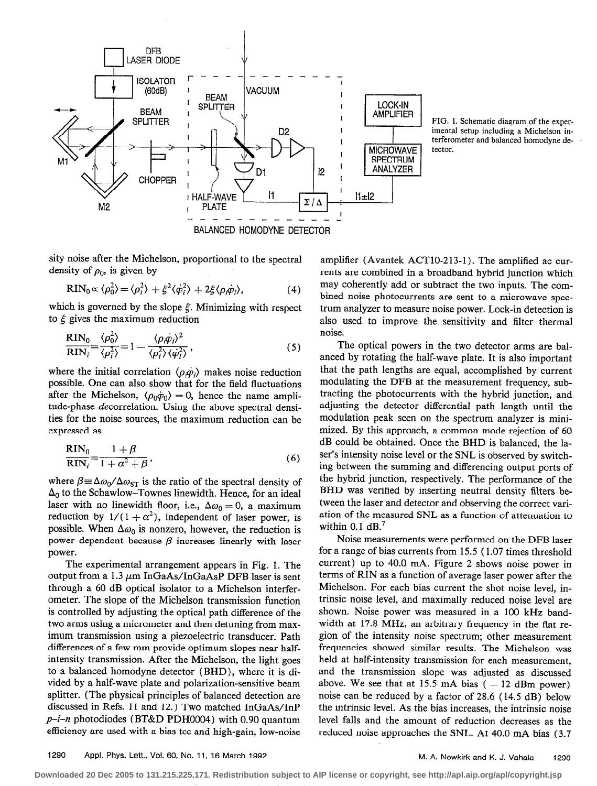

FIG. 1. Schematic diagram of the experimental setup including a Michelson interferometer and balanced homodyne detector.

sity noise after the Michelson, proportional to the spectral density of  $\rho_0$ , is given by

$$
RIN_0 \propto \langle \rho_0^2 \rangle = \langle \rho_i^2 \rangle + \xi^2 \langle \dot{\varphi}_i^2 \rangle + 2\xi \langle \rho_i \dot{\varphi}_i \rangle, \tag{4}
$$

which is governed by the slope  $\xi$ . Minimizing with respect to  $\xi$  gives the maximum reduction

$$
\frac{\text{RIN}_0}{\text{RIN}_i} = \frac{\langle \rho_0^2 \rangle}{\langle \rho_i^2 \rangle} = 1 - \frac{\langle \rho_i \dot{\varphi}_i \rangle^2}{\langle \rho_i^2 \rangle \langle \dot{\varphi}_i^2 \rangle},\tag{5}
$$

where the initial correlation  $\langle \rho, \dot{\rho}_i \rangle$  makes noise reduction possible. One can also show that for the field fluctuations after the Michelson,  $\langle \rho_0 \dot{\varphi}_0 \rangle = 0$ , hence the name amplitude-phase decorrelation. Using the above spectral densities for the noise sources, the maximum reduction can be expressed as

$$
\frac{\text{RIN}_0}{\text{RIN}_i} = \frac{1+\beta}{1+\alpha^2+\beta},\tag{6}
$$

where  $\beta \equiv \Delta \omega_0 / \Delta \omega_{ST}$  is the ratio of the spectral density of  $\Delta_0$  to the Schawlow-Townes linewidth. Hence, for an ideal laser with no linewidth floor, i.e.,  $\Delta\omega_0 = 0$ , a maximum reduction by  $1/(1 + \alpha^2)$ , independent of laser power, is possible. When  $\Delta\omega_0$  is nonzero, however, the reduction is power dependent because  $\beta$  increases linearly with laser power.

The experimental arrangement appears in Fig. 1. The output from a 1.3  $\mu$ m InGaAs/InGaAsP DFB laser is sent through a 60 dB optical isolator to a Michelson interferometer. The slope of the Michelson transmission function is controlled by adjusting the optical path difference of the two arms using a micrometer and then detuning from maximum transmission using a piezoelectric transducer. Path differences of a few mm provide optimum slopes near halfintensity transmission. After the Michelson, the light goes to a balanced homodyne detector (BHD), where it is divided by a half-wave plate and polarization-sensitive beam splitter. (The physical principles of balanced detection are discussed in Refs. 11 and 12.) Two matched InGaAs/InP  $p-i-n$  photodiodes (BT&D PDH0004) with 0.90 quantum efficiency are used with a bias tee and high-gain, low-noise

amplifier (Avantek ACT10-213-1). The amplified ac currents are combined in a broadband hybrid junction which may coherently add or subtract the two inputs. The combined noise photocurrents are sent to a microwave spectrum analyzer to measure noise power. Lock-in detection is also used to improve the sensitivity and filter thermal noise.

The optical powers in the two detector arms are balanced by rotating the half-wave plate. It is also important that the path lengths are equal, accomplished by current modulating the DFB at the measurement frequency, subtracting the photocurrents with the hybrid junction, and adjusting the detector differential path length until the modulation peak seen on the spectrum analyzer is minimized. By this approach, a common mode rejection of 60 dB could be obtained. Once the BHD is balanced, the laser's intensity noise level or the SNL is observed by switching between the summing and differencing output ports of the hybrid junction, respectively. The performance of the BHD was verified by inserting neutral density filters between the laser and detector and observing the correct variation of the measured SNL as a function of attenuation to within 0.1  $dB$ .<sup>7</sup>

Noise measurements were performed on the DFB laser for a range of bias currents from 15.5 ( 1.07 times threshold current) up to 40.0 mA. Figure 2 shows noise power in terms of RIN as a function of average laser power after the Michelson. For each bias current the shot noise level, intrinsic noise level, and maximally reduced noise level are shown. Noise power was measured in a 100 kHz bandwidth at 17.8 MHz, an arbitrary frequency in the flat region of the intensity noise spectrum; other measurement frequencies showed similar results. The Michelson was held at half-intensity transmission for each measurement, and the transmission slope was adjusted as discussed above. We see that at 15.5 mA bias  $(-12 \text{ dBm power})$ noise can be reduced by a factor of 28.6 (14.5 dB) below the intrinsic level. As the bias increases, the intrinsic noise level falls and the amount of reduction decreases as the reduced noise approaches the SNL. At 40.0 mA bias (3.7

1290 Appt. Phys. Lett., Vol. 60, No. 11, 16 March 1992

M. A. Newkirk and K. J. Vahala 1290

**Downloaded 20 Dec 2005 to 131.215.225.171. Redistribution subject to AIP license or copyright, see http://apl.aip.org/apl/copyright.jsp**